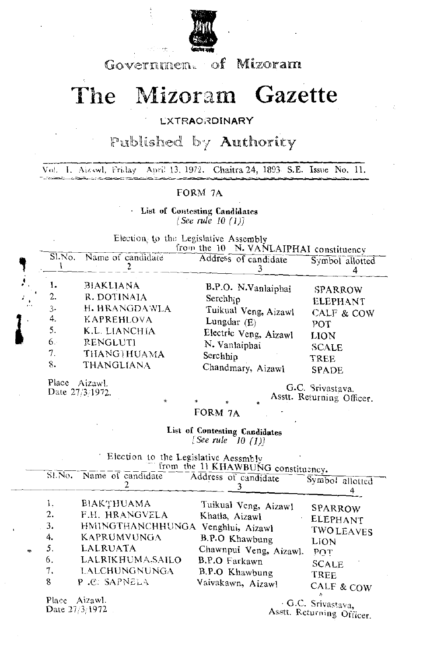

Government of Mizoram

# The Mizoram Gazette

#### **EXTRAORDINARY**

### Published by Authority

Vol. I. Aizawl, Friday April 13, 1972. Chaitra 24, 1893 S.E. Issue No. 11.

#### FORM 7A

List of Contesting Candidates *{See rule 10 (1)}* 

Election to the Legislative Assembly

|                              |                                              |                                                                                                                                        | from the 10 N. VANLAIPHAI constituency                                                                                                                         |                                                                                                        |
|------------------------------|----------------------------------------------|----------------------------------------------------------------------------------------------------------------------------------------|----------------------------------------------------------------------------------------------------------------------------------------------------------------|--------------------------------------------------------------------------------------------------------|
|                              |                                              | Sl.No. Name of candidate                                                                                                               | Address of candidate                                                                                                                                           | Symbol allotted                                                                                        |
| $\mathbb{Z}_{\geq 0}$<br>وتو | 1.<br>2.<br>3.<br>4.<br>5.<br>6.<br>7.<br>8. | <b>BIAKLIANA</b><br>R. DOTINAIA<br>H. HRANGDAWLA<br>KAPREHLOVA<br>K.L. LIANCHIA<br><b>RENGLUTI</b><br>THANGTHUAMA<br><b>THANGLIANA</b> | B.P.O. N.Vanlaiphai<br>Serchh <sub>i</sub><br>Tuikual Veng, Aizawl<br>Lungdar $(E)$<br>Electric Veng, Aizawl<br>N. Vanlaiphai<br>Serchhip<br>Chandmary, Aizawl | <b>SPARROW</b><br><b>ELEPHANT</b><br>CALF & COW<br>POT<br><b>LION</b><br><b>SCALE</b><br>TREE<br>SPADE |
|                              | $\sim$                                       |                                                                                                                                        |                                                                                                                                                                |                                                                                                        |

Place Aizawl. The C.C. Srivastava.<br>Date 27/3/1972.

Asstt. Returning Officer.

FORM 7A

List **of** Contesting **Candidates**  $[See rule <sup>o</sup>10 (1)]$ 

. Election to the Legislative Aessmbly

|           |                                                      |                                                                                                                                                                                         | from the 11 KHAWBUNG constituency.                                                                                                                |                                                                                                                                              |
|-----------|------------------------------------------------------|-----------------------------------------------------------------------------------------------------------------------------------------------------------------------------------------|---------------------------------------------------------------------------------------------------------------------------------------------------|----------------------------------------------------------------------------------------------------------------------------------------------|
|           |                                                      | Sl.No. Name of candidate                                                                                                                                                                | Address of candidate                                                                                                                              | Symbol allotted                                                                                                                              |
| $\bullet$ | ı,<br>2.<br>3.<br>4.<br>5.<br>6.<br>7.<br>8<br>Place | BIAKTHUAMA<br>F.H. HRANGVELA<br>HMINGTHANCHHUNGA Venghlui, Aizawl<br>KAPRUMVUNGA<br>LALRUATA<br><b>LALRIKHUMA.SAILO</b><br>LALCHUNGNUNGA<br>P.C. SAPNELA<br>Aizawl.<br>Date $27/3/1972$ | Tuikual Veng, Aizawl<br>Khatla, Aizawl<br>B.P.O Khawbung<br>Chawnpui Veng, Aizawl.<br><b>B.P.O Farkawn</b><br>B.P.O Khawbung<br>Vaivakawn, Aizawl | SPARROW<br>ELEPHANT<br><b>TWOLEAVES</b><br>LION<br>POT<br>SCALE<br>TREE<br>CALF & COW<br>Ъ.<br>G.C. Srivastava,<br>Asstt. Returning Officer. |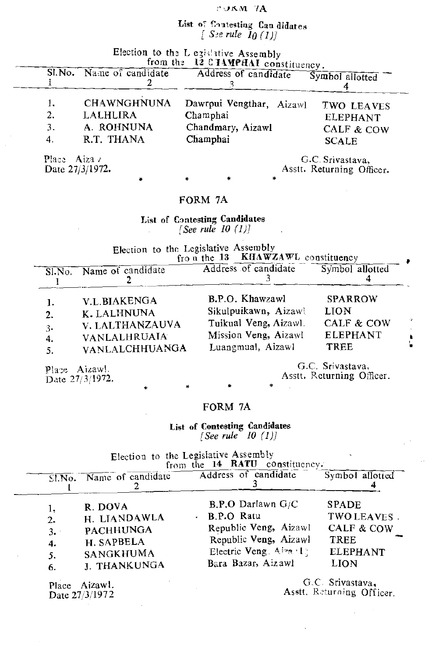#### POKM 7A

## List of Contesting Can didates<br>[See rule 10 (1)]

| Election to the L egislative Assembly |  |  |  |  |  |  |
|---------------------------------------|--|--|--|--|--|--|
|---------------------------------------|--|--|--|--|--|--|

|    | Sl. No. Name of candidate |                    |          | from the 12 C TAMPHAI constituency.<br>Address of candidate | Symbol allotted           |
|----|---------------------------|--------------------|----------|-------------------------------------------------------------|---------------------------|
| 1. |                           | <b>CHAWNGHNUNA</b> |          | Dawrpui Vengthar, Aizawl                                    | TWO LEAVES                |
| 2. | LALHLIRA                  |                    | Champhai |                                                             | <b>ELEPHANT</b>           |
| 3. | A. ROHNUNA                |                    |          | Chandmary, Aizawl                                           | CALF & COW                |
| 4. | R.T. THANA                |                    | Champhai |                                                             | <b>SCALE</b>              |
|    | Place Aiza $\ell$         |                    |          |                                                             | G.C. Srivastava,          |
|    | Date $27/3/1972$ .        |                    |          |                                                             | Asstt. Returning Officer. |

#### FORM 7A

**List of C:mtesting Candidates** *[See rule 10 (IJ]*

Election to the Legislative Assembly<br>from the 13 KHAWZAWL constituency

|    | Sl.No. Name of candidate | $110 \text{ u}$ in $10^{-10}$<br><b>INTO MARK PLO COUNTILIEUCA</b><br>Address of candidate | Symbol allotted       |    |
|----|--------------------------|--------------------------------------------------------------------------------------------|-----------------------|----|
| 1. | V.L.BIAKENGA             | B.P.O. Khawzawl                                                                            | <b>SPARROW</b>        | 40 |
| 2. | K. LALHNUNA              | Sikulpuikawn, Aizawl                                                                       | <b>LION</b>           |    |
| 3. | V. LALTHANZAUVA          | Tuikual Veng, Aizawl.                                                                      | <b>CALF &amp; COW</b> |    |
| 4. | <b>VANLALHRUAIA</b>      | Mission Veng, Aizawl                                                                       | <b>ELEPHANT</b>       |    |
| 5. | <b>VANLALCHHUANGA</b>    | Luangmual, Aizawl                                                                          | <b>TREE</b>           |    |

Place Aizawl. Date 27/3/1972.

**G.C. Srivastava. Asstt. Returning Officer.**

#### FORM 7A

•

**List of Contesting Candidates** *[See rule 10 (I))*

**Election to the Legislative Assembly from the 14 RATU constituency.**

• • •

| $\overline{\text{S1}}$ . No. | Name of candidate                                                                             | Address of candidate                                                                                                                     | Symbol allotted                                                                                       |
|------------------------------|-----------------------------------------------------------------------------------------------|------------------------------------------------------------------------------------------------------------------------------------------|-------------------------------------------------------------------------------------------------------|
| 2.<br>3.<br>4.<br>5.<br>6.   | R. DOVA<br>H. LIANDAWLA<br><b>PACHHUNGA</b><br>H. SAPBELA<br><b>SANGKHUMA</b><br>J. THANKUNGA | $B.P.O$ Darlawn $G/C$<br>- B.P.O Ratu<br>Republic Veng, Aizawl<br>Republic Veng, Aizawl<br>Electric Veng. Aiza    <br>Bara Bazar, Aizawl | <b>SPADE</b><br>TWO LEAVES.<br><b>CALF &amp; COW</b><br><b>TREE</b><br><b>ELEPHANT</b><br><b>LION</b> |

**Place** Aizawl. Date  $27/3/1972$ 

**G.C Srivastava,** Asstt. Rcturning **Officer.**

 $\epsilon$ 

 $\bar{z}$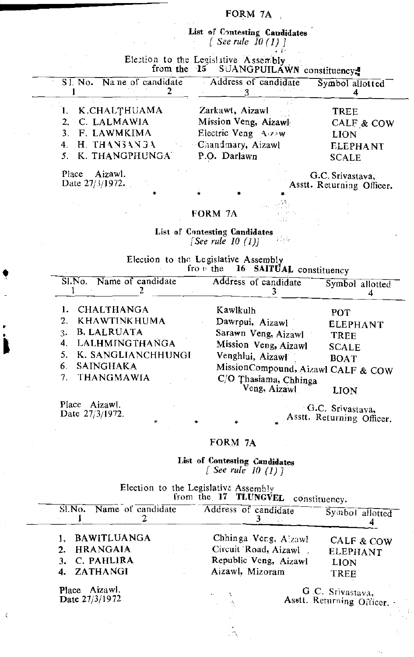#### FORM 7A

List of Contesting Candidates *[ See rule 10* (1) ]

, I',

Election to the Legislative Assembly.

|                           | from the 15 SUANGPUILAWN constituency. |                 |
|---------------------------|----------------------------------------|-----------------|
| SI. No. Name of candidate | Address of candidate                   | Symbol allotted |
| 1. K.CHALTHUAMA           | Zarkawt, Aizawl                        | <b>TREE</b>     |
| 2. C. LALMAWIA            | Mission Veng, Aizawl                   | CALF & COW      |
| 3. F. LAWMKIMA            | Electric Veng Aizaw                    | <b>LION</b>     |
| 4. H. THANSANGA           | Chandmary, Aizawl                      | <b>ELEPHANT</b> |
| 5. K. THANGPHUNGA"        | P.O. Darlawn                           | <b>SCALE</b>    |

Place Aizawl. Date 27/3/1972.

 $\alpha$  .

•.

• • I

 $\zeta$ 

G.C. Srivastava, Asstt. Returning Officer.

#### FORM 7A

• • • •

List of Contesting **Candidates** 焊接 *[See rule 10* (1)]

Election to the Legislative Assembly from the 16 SAITUAL constituency

| Name of candidate<br>SI.No.                                                                   | Address of candidate                                                                                                                                                                                                                                                                                                                                        | Symbol allotted |
|-----------------------------------------------------------------------------------------------|-------------------------------------------------------------------------------------------------------------------------------------------------------------------------------------------------------------------------------------------------------------------------------------------------------------------------------------------------------------|-----------------|
| <b>CHALTHANGA</b><br>KHAWTINKHUMA<br><b>B. LALRUATA</b><br>3.<br>LALHMINGTHANGA<br>4.         | Kawlkulh<br>POT<br>Dawrpui, Aizawl<br>Sarawn Veng, Aizawl<br>TREE<br>Mission Veng, Aizawl<br><b>SCALE</b>                                                                                                                                                                                                                                                   | <b>ELEPHANT</b> |
| K. SANGLIANCHHUNGI<br><b>SAINGHAKA</b><br>6.<br>THANGMAWIA<br>$7_{\scriptscriptstyle{\star}}$ | Venghlui, Aizawl<br><b>BOAT</b><br>MissionCompound, Aizawl CALF & COW<br>C/O Thasiama, Chhinga<br>Veng, Aizawl<br>LION                                                                                                                                                                                                                                      |                 |
| Place<br>Aizawl.                                                                              | $\mathcal{L}$ $\mathcal{L}$ $\mathcal{L}$ $\mathcal{L}$ $\mathcal{L}$ $\mathcal{L}$ $\mathcal{L}$ $\mathcal{L}$ $\mathcal{L}$ $\mathcal{L}$ $\mathcal{L}$ $\mathcal{L}$ $\mathcal{L}$ $\mathcal{L}$ $\mathcal{L}$ $\mathcal{L}$ $\mathcal{L}$ $\mathcal{L}$ $\mathcal{L}$ $\mathcal{L}$ $\mathcal{L}$ $\mathcal{L}$ $\mathcal{L}$ $\mathcal{L}$ $\mathcal{$ |                 |

Place Aizawl. Date  $27/3/1972$ .

G.C. Srivastava, Asstt. Returning Officer.

#### FORM 7A

•

List **of Contesting Candidates** *[ See rule 10* (1) ]

Election to the Legislative Assembly from the 17 TLUNGVEL constituency.

| Sl.No. Name of candidate                                             | Address of candidate                                                                     | Symbol allotted                                             |
|----------------------------------------------------------------------|------------------------------------------------------------------------------------------|-------------------------------------------------------------|
| <b>BAWITLUANGA</b><br>HRANGAIA<br>2.<br>3. C. PAHLIRA<br>4. ZATHANGI | Chhinga Verg, Alzawl<br>Circuit Road, Aizawl<br>Republic Veng, Aizawl<br>Aizawl, Mizoram | CALF & COW<br><b>ELEPHANT</b><br><b>LION</b><br><b>TREE</b> |
| Place Aizawl.<br>Date 27/3/1972                                      | $\bullet$ .<br>÷                                                                         | G.C. Srivastava,<br>Asstt. Returning Officer. -             |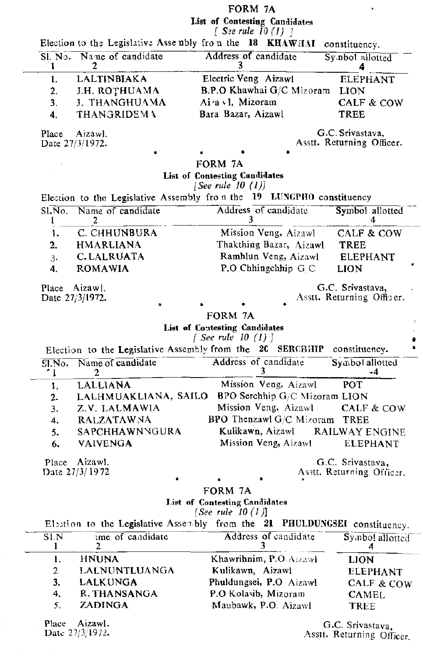FORM 7A<br>List of Contesting Candidates<br>f See rule 10 (1) 1

 $\bar{\mathbf{r}}$ 

|           | Election to the Legislative Assembly from the $18$ KHAWHAI |                                                                            | constituency.                                                              |
|-----------|------------------------------------------------------------|----------------------------------------------------------------------------|----------------------------------------------------------------------------|
| 1         | Sl. No. Name of candidate<br>2                             | Address of candidate                                                       | Symbol allotted                                                            |
| 1.        | <b>LALTINBIAKA</b>                                         | Electric Veng Aizawl                                                       | <b>ELEPHANT</b>                                                            |
| 2.        | J.H. ROTHUAMA                                              | <b>B.P.O Khawhai G/C Mizoram</b>                                           | <b>LION</b>                                                                |
| 3.        | J. THANGHUAMA                                              | $Aia$ . 1, Mizoram                                                         | CALF & COW                                                                 |
| 4.        | <b>THANGRIDEMA</b>                                         | Bara Bazar, Aizawl                                                         | TREE                                                                       |
|           |                                                            |                                                                            |                                                                            |
| Place     | Aizawl.                                                    |                                                                            | G.C. Srivastava,                                                           |
|           | Date $27/3/1972$ .                                         |                                                                            | Asstt. Returning Officer.                                                  |
|           |                                                            | FORM 7A                                                                    |                                                                            |
|           |                                                            | List of Contesting Candidates                                              |                                                                            |
|           |                                                            | [See rule $10$ $(1)$ ]                                                     |                                                                            |
|           |                                                            | Election to the Legislative Assembly from the 19 LUNGPHO constituency      |                                                                            |
| S1.No.    | Name of candidate                                          | Address of candidate                                                       | Symbol allotted                                                            |
|           | 2                                                          |                                                                            | 4                                                                          |
| 1.        | C. CHHUNBURA                                               | Mission Veng, Aizawl                                                       | CALF & COW                                                                 |
| 2.        | <b>HMARLIANA</b>                                           | Thakthing Bazar, Aizawl                                                    | <b>TREE</b>                                                                |
| 3.        | C. LALRUATA                                                | Ramhlun Veng, Aizawl                                                       | <b>ELEPHANT</b>                                                            |
| 4.        | <b>ROMAWIA</b>                                             | P.O Chhingchhip G.C.                                                       | <b>LION</b>                                                                |
|           |                                                            |                                                                            |                                                                            |
|           | Place Aizawl.                                              |                                                                            | G.C. Srivastava,                                                           |
|           | Date 27/3/1972.<br>$\ast$                                  |                                                                            | Asstt. Returning Officer.                                                  |
|           |                                                            | FORM 7A                                                                    |                                                                            |
|           |                                                            | List of Contesting Candidates                                              |                                                                            |
|           |                                                            | $\int$ See rule 10 $(1)$ ]                                                 |                                                                            |
|           |                                                            | Election to the Legislative Assembly from the 2C SERCHHIP                  | constituency.                                                              |
| ^ Լ       | Sl.No. Name of candidate<br>2                              | Address of candidate<br>3                                                  | Symbol allotted<br>-4                                                      |
| 1,        | <b>LALLIANA</b>                                            | Mission Veng, Aizawl                                                       | <b>POT</b>                                                                 |
| 2.        | LALHMUAKLIANA, SAILO                                       | BPO Serchhip G/C Mizoram LION                                              |                                                                            |
| 3.        | Z.V. LALMAWIA                                              | Mission Veng, Aizawl                                                       | CALF & COW                                                                 |
| 4.        | <b>RALZATAWNA</b>                                          | <b>BPO Thenzawl G/C Mizoram TREE</b>                                       |                                                                            |
| 5.        | <b>SAPCHHAWNNGURA</b>                                      | Kulikawn, Aizawl                                                           | <b>RAILWAY ENGINE</b>                                                      |
| 6.        | <b>VAIVENGA</b>                                            | Mission Veng, Aizawl                                                       | <b>ELEPHANT</b>                                                            |
|           |                                                            |                                                                            |                                                                            |
|           | Place Aizawl.                                              |                                                                            |                                                                            |
|           |                                                            |                                                                            | G.C. Srivastava,                                                           |
|           | Date $27/3/1972$                                           |                                                                            |                                                                            |
|           |                                                            | FORM 7A                                                                    |                                                                            |
|           |                                                            | <b>List of Contesting Candidates</b>                                       | Asstt. Returning Officer.                                                  |
|           |                                                            | [See rule $10(1)$ ]                                                        |                                                                            |
|           |                                                            | Election to the Legislative Assembly from the 21 PHULDUNGSEI constituency. |                                                                            |
| S1.N<br>1 | ime of candidate<br>2                                      | Address of candidate<br>3                                                  | 4                                                                          |
| 1.        | <b>HNUNA</b>                                               | Khawrihnim, P.O Aizawl                                                     | <b>LION</b>                                                                |
| 2.        | LALNUNTLUANGA                                              | Kulikawn, Aizawl                                                           |                                                                            |
| 3.        | <b>LALKUNGA</b>                                            | Phuldungsei, P.O Aizawl                                                    |                                                                            |
| 4.        | R. THANSANGA                                               | P.O Kolasib, Mizoram                                                       | CAMEL                                                                      |
| 5.        | <b>ZADINGA</b>                                             | Maubawk, P.O. Aizawl                                                       | Symbol allotted<br><b>ELEPHANT</b><br><b>CALF &amp; COW</b><br><b>TREE</b> |

Place Aizawi.<br>Date 27/3/1972.

 $\sim$ 

 $\hat{\mathcal{A}}$ 

 $\frac{1}{2}$ 

 $\sim 100$ 

G.C. Srivastava, Asstt. Returning Officer.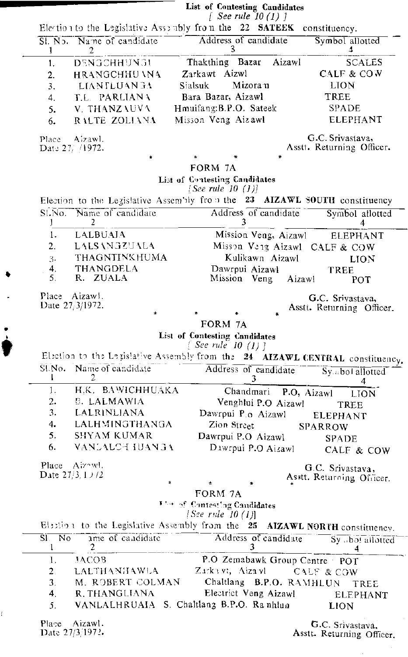|  | List of Contesting Candidates |  |
|--|-------------------------------|--|
|  | $\int$ See rule 10 (1) 1      |  |

|                                                       |                                            | $1$ $1000$ $1000$ $101$ $11$<br>Election to the Legislative Assombly from the $22$ SATEEK<br>constituency. |
|-------------------------------------------------------|--------------------------------------------|------------------------------------------------------------------------------------------------------------|
| 1                                                     | Sl. No. Name of candidate<br>2             | Address of candidate<br>Symbol allotted<br>3.<br>4                                                         |
| 1.                                                    | DENGCHHUNGU                                | Thakthing Bazar<br><b>SCALES</b><br>Aizawl                                                                 |
| $\mathbf{2}$ .                                        | HRANGCHHU \NA                              | Zarkawt Aizwl<br>CALF & COW                                                                                |
| 3.                                                    | <b>LIANTLUAN 3A</b>                        | Mizoran<br><b>LION</b><br>Sialsuk                                                                          |
| 4.                                                    | T.L. PARLIANA                              | Bara Bazar, Aizawl<br>TREE                                                                                 |
| 5.                                                    | V. THANZAUVA                               | Hmuifang:B.P.O. Sateek<br>SPADE                                                                            |
| 6.                                                    | RALTE ZOLIANA                              | Misson Veng Aizawl<br>ELEPHANT                                                                             |
|                                                       | Place Aizawl.<br>Date $27/1972$ .          | G.C. Srivastava,<br>Asstt. Returning Officer.                                                              |
|                                                       | *                                          | FORM 7A                                                                                                    |
|                                                       |                                            | List of Contesting Candidates<br>[See rule 10 $(1)$ ]                                                      |
|                                                       |                                            | Election to the Legislative Assembly from the 23 AIZAWL SOUTH constituency                                 |
| Ţ                                                     | Sl.No. Name of candidate<br>2              | Address of candidate<br>Symbol allotted<br>3<br>4                                                          |
| 1.                                                    | <b>LALBUAIA</b>                            | Mission Veng, Aizawl<br><b>ELEPHANT</b>                                                                    |
| 2.                                                    | LALSANGZUALA                               | Misson Veng Aizawl CALF & COW                                                                              |
| 3.                                                    | <b>THAGNTINKHUMA</b>                       | Kulikawn Aizawl<br><b>LION</b>                                                                             |
| 4.                                                    | <b>THANGDELA</b>                           | Dawrpui Aizawl<br>TREE                                                                                     |
| 5.                                                    | R. ZUALA                                   | Mission Veng<br>Aizawl<br>POT                                                                              |
|                                                       | Place Aizaw!.<br>Date 27/3/1972.<br>$\ast$ | G.C. Srivastava,<br>Asstt. Returning Officer.                                                              |
|                                                       |                                            | FORM 7A                                                                                                    |
|                                                       |                                            | List of Contesting Candidates<br>$[$ See rule 10 (1) $]$                                                   |
|                                                       |                                            | Election to the Legislative Assembly from the 24 AIZAWL CENTRAL constituency.                              |
|                                                       | Sl.No. Name of candidate<br>2              | Address of candidate<br>Symbol allotted<br>3<br>4                                                          |
| 1.                                                    | H.K. BAWICHHUAKA                           | Chandmari P.O, Aizawl<br><b>LION</b>                                                                       |
| 2.                                                    | <b>B. LALMAWIA</b>                         | Venghlui P.O Aizawl<br>TREE                                                                                |
| 3.                                                    | <b>LALRINLIANA</b>                         | Dawrpui P.o Aizawl<br>ELEPHANT                                                                             |
| 4.                                                    | LALHMINGTHANGA                             | Zion Street<br><b>SPARROW</b>                                                                              |
| 5.                                                    | <b>SHYAM KUMAR</b>                         | Dawrpui P.O Aizawl<br><b>SPADE</b>                                                                         |
| 6.                                                    | VANLALCHHUANGA                             | Dawrpui P.O Aizawl<br>CALF & COW                                                                           |
|                                                       | Place Aizowl.                              | G.C. Srivastava,                                                                                           |
|                                                       | Date $27/3$ , 1 $\frac{1}{2}$<br>$\ast$    | Asstt. Returning Officer.<br>♣                                                                             |
|                                                       |                                            | FORM 7A                                                                                                    |
|                                                       |                                            | The of Contesting Candidates<br>[See rule $10(1)$ ]                                                        |
|                                                       |                                            | Election to the Legislative Assembly from the 25 AIZAWL NORTH constituency.                                |
| $\overline{\text{SI}}$<br>$\overline{\text{No}}$<br>1 | ame of candidate<br>2                      | Address of candidate<br>Sy bol allotted<br>3<br>4                                                          |
| 1.                                                    | JACOB                                      | P.O Zemabawk Group Centre POT                                                                              |
| 2 <sub>1</sub>                                        | <b>LALTHANHAWLA</b>                        | Zarkawt, Aizawi CALF & COW                                                                                 |
| 3.                                                    | M. ROBERT COLMAN                           | Chaltlang B.P.O. RAMHLUN<br>TREE                                                                           |
| 4.                                                    | R. THANGLIANA                              | Electrict Veng Aizawl<br>ELEPHANT                                                                          |
| 5.                                                    |                                            | VANLALHRUAIA S. Chaltlang B.P.O. Ranhlua<br><b>LION</b>                                                    |
| Place                                                 | Aizawl.                                    | G.C. Srivastava,                                                                                           |

Date 27/3/1972.

 $\bullet$ 

 $\mathcal{A}$ 

 $\ddot{\bullet}$ 

ł,

Asstt. Returning Officer.

 $\bar{z}$ 

 $\epsilon_{\rm{max}}$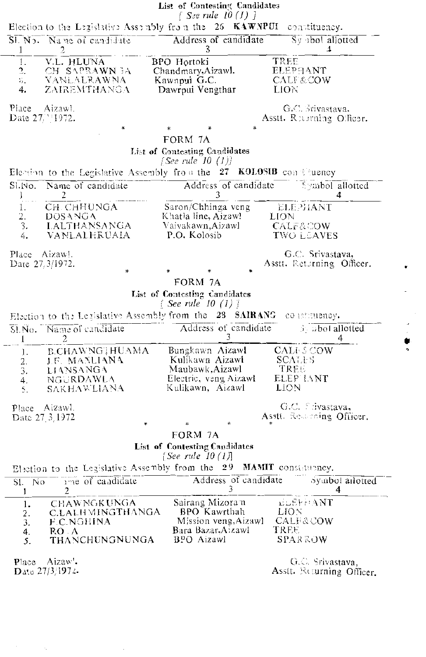|                                    |                                                               | List of Contesting Candidates<br>$\lceil$ See rule 10 (1) $\lceil$      |                                                               |
|------------------------------------|---------------------------------------------------------------|-------------------------------------------------------------------------|---------------------------------------------------------------|
|                                    |                                                               | Election to the Legislative Assembly from the $26$ KAWNPUI              | constituency.                                                 |
| $\mathbf{I}$                       | Sl. No. Name of candidate<br>2                                | Address of candidate<br>3                                               | Sy abol allotted<br>4                                         |
| 1.<br>$\frac{2}{3}$<br>4.          | V.L. HLUNA<br>CH SAPRAWN EA<br>- VANLALRAWNA-<br>ZAIREMTHANGA | BPO Hortoki<br>Chandmary, Aizawl.<br>Kawnpui G.C.<br>Dawrpui Vengthar   | <b>TREE</b><br>ELEPHANT<br><b>CALF&amp;COW</b><br><b>LION</b> |
| Place Aizawl.<br>Date 27/ 1972.    | ₩                                                             |                                                                         | G.C. Srivastava.<br>Asstt. Rusening Officer.                  |
|                                    |                                                               | FORM 7A                                                                 |                                                               |
|                                    |                                                               | List of Contesting Candidates<br>[See rule 10 $(1)$ ]                   |                                                               |
|                                    |                                                               | Election to the Legislative Assembly from the $27$ KOLOSIB constituency |                                                               |
| SI.No.<br>J                        | Name of candidate<br>2                                        | Address of candidate<br>3                                               | <b>Eymbol</b> allotted<br>4                                   |
| 1.<br>$\frac{2}{3}$ .              | CH. CHHUNGA<br>DOSANGA<br>- LALTHANSANGA                      | Saron/Chhinga veng<br>Khatla line, Aizawl<br>Vaivakawn,Aizawl -         | ELEPHANT<br>LION<br><b>CALF&amp;COW</b>                       |
| 4.                                 | VANLALHRUAIA                                                  | P.O. Kolosib                                                            | <b>TWO LEAVES</b>                                             |
| Place Aizaw.<br>Date $27/3/1972$ . | ∗                                                             |                                                                         | G.C. Srivastava,<br>Asstt. Returning Officer.                 |
|                                    |                                                               | FORM 7A                                                                 |                                                               |
|                                    |                                                               | List of Contesting Candidates<br>[See rule 10 (1)]                      |                                                               |
|                                    |                                                               | Election to the Legislative Assembly from the 28 SAIRANG                | constituency.                                                 |
| T                                  | Sl.No. Name of candidate<br>2                                 | Address of candidate                                                    | $3.$ abot allotted<br>4                                       |
| 1.                                 | B.CHAWNG1HUAMA                                                | Bungkawn Aizawl                                                         | <b>CALI-SCOW</b>                                              |
| 2,<br>3.                           | <b>J.F. MANLIANA</b><br>LIANSANGA                             | Kulikawn Aizawl<br>Maubawk, Aizawl                                      | <b>SCALLS</b><br>TREE                                         |
| 4.<br>5.                           | NGURDAWLA<br><b>SAKHAWLIANA</b>                               | Electric, veng Aizawl<br>Kulikawn, Aizawl                               | ELEP IANT<br>LION                                             |
|                                    | Place Aizawl.<br>Date 27 3 1972                               | ÷.<br>÷                                                                 | G.C. Livastava,<br>Asstt. Reserving Officer.                  |
|                                    |                                                               | FORM 7A                                                                 |                                                               |
|                                    |                                                               | <b>List of Contesting Candidates</b><br>[See rule $10(1)$ ]             |                                                               |
|                                    |                                                               | Election to the Legislative Assembly from the 29 MAMIT consistency.     |                                                               |
| - No<br>SI.<br>1                   | are of candidate<br>2                                         | Address of candidate<br>3                                               | Symbol allotted<br>4                                          |
| 1.<br>$\overline{2}$ .<br>3.       | <b>CHAWNGKUNGA</b><br>C.LALHMINGTHANGA<br>F.C.NGHINA          | Sairang Mizoram<br>BPO Kawrthah<br>Mission veng, Aizawl                 | <b>ELEFFRANT</b><br><b>LION</b><br><b>CALF&amp;COW</b>        |
| 4.<br>5.                           | RO: A<br>THANCHUNGNUNGA                                       | Bara Bazar, Aizawl<br>BPO Aizawl                                        | TREE<br>SPARROW                                               |
| Place                              | Aizaw'.<br>Date $27/3/1974$                                   |                                                                         | G.C. Srivastava,<br>Asstt. Returning Officer.                 |
|                                    |                                                               |                                                                         |                                                               |

 $\ddot{\phantom{a}}$ 

 $\hat{\boldsymbol{\beta}}$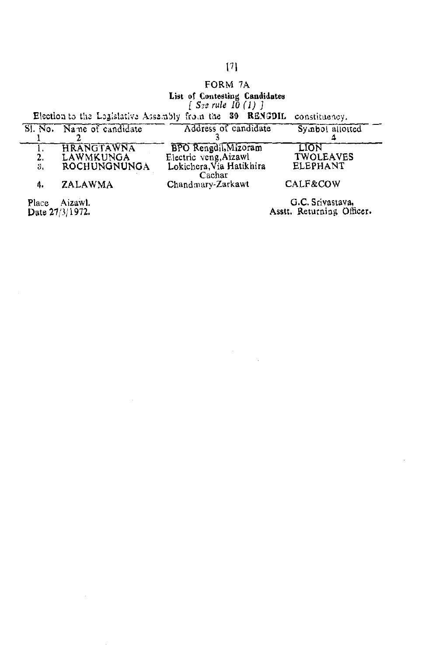### $[7]$

 $\label{eq:2} \begin{split} \mathcal{L}_{\text{max}}(\mathbf{r}) = \mathcal{L}_{\text{max}}(\mathbf{r}) \end{split}$ 

## FORM 7A

List of Contesting Candidates<br>[See rule 10(1)]<br>Election to the Legislative Assembly from the 30 RENGDIL constituency.

 $\bar{\mathcal{A}}$ 

 $\bar{\beta}$ 

 $\bar{z}$ 

|    | SI. No. Name of candidate | Address of candidate               | Symbol allotted  |
|----|---------------------------|------------------------------------|------------------|
|    |                           |                                    |                  |
|    | <b>HRANGTAWNA</b>         | <b>BPO</b> Rengdil, Mizoram        | LION             |
| 2. | LAWMKUNGA                 | Electric veng, Aizawl              | <b>TWOLEAVES</b> |
| 3. | ROCHUNGNUNGA              | Lokichera, Via Hatikhira<br>Cachar | <b>ELEPHANT</b>  |
| 4. | ZALAWMA                   | Chandmary-Zarkawt                  | CALF&COW         |
|    | .                         |                                    |                  |

Place Aizawl.<br>Date 27/3/1972.

G.C. Srivastava,<br>Asstt. Returning Officer.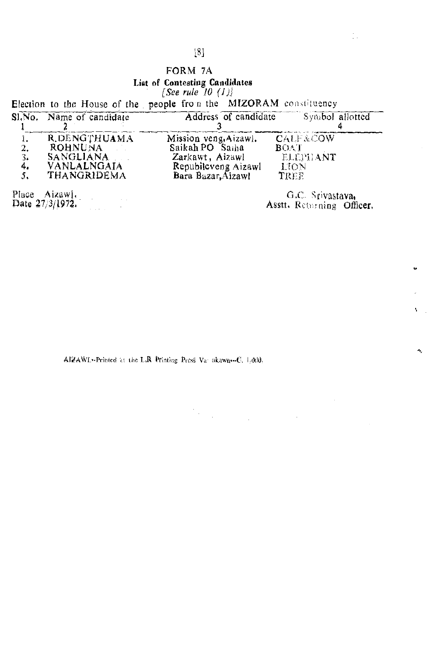## $\left[ 8\right]$

## FORM 7A List of Contesting Candidates<br>[See rule 10 (1)]

|  |  |  |  |  | Election to the House of the people from the MIZORAM constituency                                                                                                                                                                                                                                                                |  |
|--|--|--|--|--|----------------------------------------------------------------------------------------------------------------------------------------------------------------------------------------------------------------------------------------------------------------------------------------------------------------------------------|--|
|  |  |  |  |  | $\alpha$ and $\alpha$ and $\alpha$ and $\alpha$ and $\alpha$ and $\alpha$ and $\alpha$ and $\alpha$ and $\alpha$ and $\alpha$ and $\alpha$ and $\alpha$ and $\alpha$ and $\alpha$ and $\alpha$ and $\alpha$ and $\alpha$ and $\alpha$ and $\alpha$ and $\alpha$ and $\alpha$ and $\alpha$ and $\alpha$ and $\alpha$ and $\alpha$ |  |

|    | SI, No. Name of candidate | Address of candidate  | Symbol allotted     |
|----|---------------------------|-----------------------|---------------------|
|    |                           |                       |                     |
| ı. | R.DENGTHUAMA              | Mission veng, Aizawl. | <b>CALF&amp;COW</b> |
| 2. | ROHNUNA DI                | Saikah PO Saiha       | <b>BOAT</b>         |
| 3. | <b>SANGLIANA</b>          | Zarkawt, Aizawl       | ELEPHANT            |
| 4, | <b>VANLALNGAIA</b>        | Republicveng Aizawl   | <b>LION</b>         |
| 5, | THANGRIDEMA               | Bara Bazar, Aizawl    | TREE                |
|    |                           |                       |                     |

Place Aizaw].<br>Date  $27/3/1972$ .

G.C. Srivastava, Asstt. Returning Officer.

 $\mathcal{L}_{\mathcal{A}}$ 

 $\label{eq:2.1} \frac{d\mathbf{y}}{dt} = \frac{1}{2} \left[ \begin{array}{cc} \mathbf{y} & \mathbf{y} \\ \mathbf{y} & \mathbf{y} \end{array} \right] \quad \text{and} \quad \mathbf{y} = \frac{1}{2} \left[ \begin{array}{cc} \mathbf{y} & \mathbf{y} \\ \mathbf{y} & \mathbf{y} \end{array} \right] \quad \text{and} \quad \mathbf{y} = \frac{1}{2} \left[ \begin{array}{cc} \mathbf{y} & \mathbf{y} \\ \mathbf{y} & \mathbf{y} \end{array} \right] \quad \text{and} \quad$ 

 $\mathcal{V}_{\mathcal{A}}$ 

AIZAWL<sup>22</sup>Printed at the L.R Printing Press Va akawa-C, 1,000,

Ą,

ı,

Ń.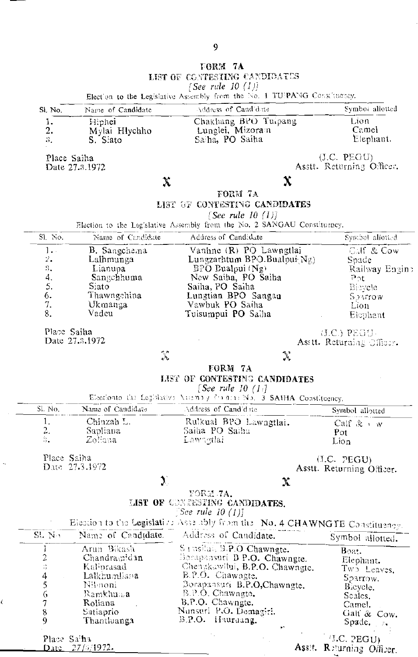|                                                          |                                                                                                           | FORM 7A<br>LIST OF CONTESTING CANDIDATES                                                                                                                                                                          |                                                                                                 |
|----------------------------------------------------------|-----------------------------------------------------------------------------------------------------------|-------------------------------------------------------------------------------------------------------------------------------------------------------------------------------------------------------------------|-------------------------------------------------------------------------------------------------|
|                                                          |                                                                                                           | [See rule 10 $(1)$ ]                                                                                                                                                                                              |                                                                                                 |
|                                                          |                                                                                                           | Election to the Legislative Assembly from the No. 1 TUPANG Constituency.                                                                                                                                          |                                                                                                 |
| Si. No.                                                  | Name of Candidate                                                                                         | Address of Cand date                                                                                                                                                                                              | Symboi allotted                                                                                 |
| 1.<br>2.<br>3.                                           | Hiphei<br>Mylai Hlychho<br>S. Siato                                                                       | Chakhang BPO Tuipang<br>Lunglei, Mizoram<br>Sa ha, PO Saiha                                                                                                                                                       | Lion<br>Camel<br>Elephant.                                                                      |
| Place Saiha                                              | Date 27.3.1972                                                                                            |                                                                                                                                                                                                                   | (J.C. PEGU)<br>Asstt. Returning Officer.                                                        |
|                                                          | $\chi$                                                                                                    | X                                                                                                                                                                                                                 |                                                                                                 |
|                                                          |                                                                                                           | FORM 7A<br>LIST OF CONTESTING CANDIDATES<br>[See rule 10 $(1)$ ]<br>Election to the Leg'slative Assembly from the No. 2 SANGAU Constituency.                                                                      |                                                                                                 |
| SI No.                                                   | Name of Candidate                                                                                         | Address of Candidate                                                                                                                                                                                              | Symbol allotted                                                                                 |
| 1.<br>2.<br>$\mathbb{S}_+$<br>4.<br>5.<br>6.<br>7.<br>8. | B. Sangchema<br>Lalhmunga<br>Lianupa<br>Sangchhuma<br>Siato<br>Thawngchina<br>Ukmanga<br>Vadeu            | Vanhne (R) PO Lawngtlai<br>Lungzarhtum BPO.Bualpui Ng)<br>$BP\bar{O}$ Bualpui (Ng)<br>New Saiha, PO Saiha<br>Saiha, PO Saiha<br>Lungtian BPO Sangan<br>Vawbuk PO Saiha<br>Tuisumpui PO Saiha                      | Calf & Cow<br>Soade<br>Railway Engine<br>$P_{\Omega}t$<br>Bibycle<br>Sourow<br>Lion<br>Elephant |
| Place Saiha                                              | Date 27.3.1972<br>$\lambda$                                                                               | $\mathcal{A}$<br>FORM 7A                                                                                                                                                                                          | (LC.) PEGU-<br>Asstt. Returning Officer.                                                        |
|                                                          |                                                                                                           | LIST OF CONTESTING CANDIDATES<br>[See rule 10 $(1)$ ]<br>Electionto the Legislative Amendy for arrived. 3 SAIHA Constituency.                                                                                     |                                                                                                 |
| Sl. No.                                                  | Name of Candidate                                                                                         | Address of Cand'date                                                                                                                                                                                              | Symbol allotted                                                                                 |
| 1.<br>2.<br>ą.                                           | Chinzah L.<br>Sapliana<br>Zoliana                                                                         | Rulkual BPO Lawngtlai.<br>Saiha PO Saiha<br>Lawagilai                                                                                                                                                             | Calf $\& \rightarrow w$<br>Pot<br>Lion                                                          |
| Place Saiha                                              | Date 27.3.1972                                                                                            |                                                                                                                                                                                                                   | (I.C. PEGU)<br>Asstt. Returning Officer.                                                        |
|                                                          | $\sum_{i=1}^{n}$                                                                                          | X<br>YORM 7A.<br>LIST OF CONTESTING CANDIDATES.                                                                                                                                                                   |                                                                                                 |
|                                                          |                                                                                                           | $\lceil$ See rule 10 (1)]<br>Election to the Legislation Assembly from the No. 4 CHAWNGTE Constituency.                                                                                                           |                                                                                                 |
| SLN <sub>2</sub>                                         | Name of Candidate.                                                                                        | Address of Candidate.                                                                                                                                                                                             | Symbol allotted.                                                                                |
| 123456789                                                | Arun Bikash<br>Chandrasnidan<br>Kaliorasad<br>Lalkhumliana<br>Nilmoni<br>Ramkhuma<br>Roliana<br>Satiaprio | S ensilai, S.P.O Chawngte.<br>Borapansuri B P.O. Chawngte.<br>Chengkawilui, B.P.O. Chawngte.<br>E.P.O. Chawagte.<br>Borapansuri B.P.O,Chawngte.<br>B.P.O. Chawngte.<br>B.P.O. Chawngte.<br>Nunsuri P.O. Demagiri. | Boat.<br>Elephant.<br>$Tw2$ Leaves,<br>Sparrow.<br>Bicycle.<br>Scales.<br>Camel.<br>Gail & Cow. |

Place Sa<sup>t</sup>ha<br>Date 27/6/1972.

 $\bar{z}$ 

 $\ddot{\psi}$ 

Ċ

Assit. Returning Officer.